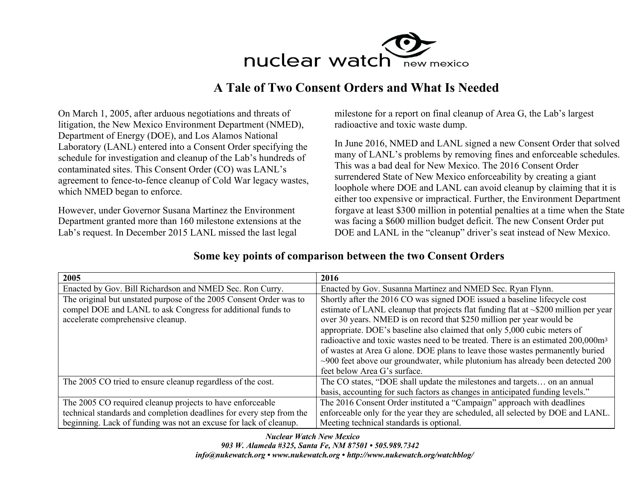

## **A Tale of Two Consent Orders and What Is Needed**

On March 1, 2005, after arduous negotiations and threats of litigation, the New Mexico Environment Department (NMED), Department of Energy (DOE), and Los Alamos National Laboratory (LANL) entered into a Consent Order specifying the schedule for investigation and cleanup of the Lab's hundreds of contaminated sites. This Consent Order (CO) was LANL's agreement to fence-to-fence cleanup of Cold War legacy wastes, which NMED began to enforce.

However, under Governor Susana Martinez the Environment Department granted more than 160 milestone extensions at the Lab's request. In December 2015 LANL missed the last legal

milestone for a report on final cleanup of Area G, the Lab's largest radioactive and toxic waste dump.

In June 2016, NMED and LANL signed a new Consent Order that solved many of LANL's problems by removing fines and enforceable schedules. This was a bad deal for New Mexico. The 2016 Consent Order surrendered State of New Mexico enforceability by creating a giant loophole where DOE and LANL can avoid cleanup by claiming that it is either too expensive or impractical. Further, the Environment Department forgave at least \$300 million in potential penalties at a time when the State was facing a \$600 million budget deficit. The new Consent Order put DOE and LANL in the "cleanup" driver's seat instead of New Mexico.

| 2005                                                                 | 2016                                                                                         |
|----------------------------------------------------------------------|----------------------------------------------------------------------------------------------|
| Enacted by Gov. Bill Richardson and NMED Sec. Ron Curry.             | Enacted by Gov. Susanna Martinez and NMED Sec. Ryan Flynn.                                   |
| The original but unstated purpose of the 2005 Consent Order was to   | Shortly after the 2016 CO was signed DOE issued a baseline lifecycle cost                    |
| compel DOE and LANL to ask Congress for additional funds to          | estimate of LANL cleanup that projects flat funding flat at $\sim$ \$200 million per year    |
| accelerate comprehensive cleanup.                                    | over 30 years. NMED is on record that \$250 million per year would be                        |
|                                                                      | appropriate. DOE's baseline also claimed that only 5,000 cubic meters of                     |
|                                                                      | radioactive and toxic wastes need to be treated. There is an estimated 200,000m <sup>3</sup> |
|                                                                      | of wastes at Area G alone. DOE plans to leave those wastes permanently buried                |
|                                                                      | $\sim$ 900 feet above our groundwater, while plutonium has already been detected 200         |
|                                                                      | feet below Area G's surface.                                                                 |
| The 2005 CO tried to ensure cleanup regardless of the cost.          | The CO states, "DOE shall update the milestones and targets on an annual                     |
|                                                                      | basis, accounting for such factors as changes in anticipated funding levels."                |
| The 2005 CO required cleanup projects to have enforceable            | The 2016 Consent Order instituted a "Campaign" approach with deadlines                       |
| technical standards and completion deadlines for every step from the | enforceable only for the year they are scheduled, all selected by DOE and LANL.              |
| beginning. Lack of funding was not an excuse for lack of cleanup.    | Meeting technical standards is optional.                                                     |

## **Some key points of comparison between the two Consent Orders**

*Nuclear Watch New Mexico 903 W. Alameda #325, Santa Fe, NM 87501 • 505.989.7342 info@nukewatch.org • www.nukewatch.org • http://www.nukewatch.org/watchblog/*